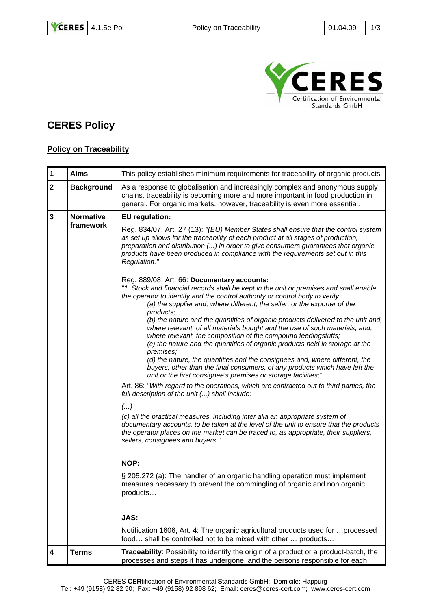

## **CERES Policy**

## **Policy on Traceability**

| $\mathbf 1$ | <b>Aims</b>       | This policy establishes minimum requirements for traceability of organic products.                                                                                                                                                                                                                                                                                                                                                                                                                                                                                                                                                                                                                                                                                                                                                                                                                                                                                                                                                                                                                                                                                                                                                                                                                                                                                                                                                                                                                                                                                                                                                                                                                                 |
|-------------|-------------------|--------------------------------------------------------------------------------------------------------------------------------------------------------------------------------------------------------------------------------------------------------------------------------------------------------------------------------------------------------------------------------------------------------------------------------------------------------------------------------------------------------------------------------------------------------------------------------------------------------------------------------------------------------------------------------------------------------------------------------------------------------------------------------------------------------------------------------------------------------------------------------------------------------------------------------------------------------------------------------------------------------------------------------------------------------------------------------------------------------------------------------------------------------------------------------------------------------------------------------------------------------------------------------------------------------------------------------------------------------------------------------------------------------------------------------------------------------------------------------------------------------------------------------------------------------------------------------------------------------------------------------------------------------------------------------------------------------------------|
| $\mathbf 2$ | <b>Background</b> | As a response to globalisation and increasingly complex and anonymous supply<br>chains, traceability is becoming more and more important in food production in<br>general. For organic markets, however, traceability is even more essential.                                                                                                                                                                                                                                                                                                                                                                                                                                                                                                                                                                                                                                                                                                                                                                                                                                                                                                                                                                                                                                                                                                                                                                                                                                                                                                                                                                                                                                                                      |
| 3           | <b>Normative</b>  | <b>EU</b> regulation:                                                                                                                                                                                                                                                                                                                                                                                                                                                                                                                                                                                                                                                                                                                                                                                                                                                                                                                                                                                                                                                                                                                                                                                                                                                                                                                                                                                                                                                                                                                                                                                                                                                                                              |
|             | framework         | Reg. 834/07, Art. 27 (13): "(EU) Member States shall ensure that the control system<br>as set up allows for the traceability of each product at all stages of production,<br>preparation and distribution () in order to give consumers guarantees that organic<br>products have been produced in compliance with the requirements set out in this<br>Regulation."<br>Reg. 889/08: Art. 66: Documentary accounts:<br>"1. Stock and financial records shall be kept in the unit or premises and shall enable<br>the operator to identify and the control authority or control body to verify:<br>(a) the supplier and, where different, the seller, or the exporter of the<br>products;<br>(b) the nature and the quantities of organic products delivered to the unit and,<br>where relevant, of all materials bought and the use of such materials, and,<br>where relevant, the composition of the compound feedingstuffs;<br>(c) the nature and the quantities of organic products held in storage at the<br>premises;<br>(d) the nature, the quantities and the consignees and, where different, the<br>buyers, other than the final consumers, of any products which have left the<br>unit or the first consignee's premises or storage facilities;"<br>Art. 86: "With regard to the operations, which are contracted out to third parties, the<br>full description of the unit () shall include:<br>()<br>(c) all the practical measures, including inter alia an appropriate system of<br>documentary accounts, to be taken at the level of the unit to ensure that the products<br>the operator places on the market can be traced to, as appropriate, their suppliers,<br>sellers, consignees and buyers." |
|             |                   | NOP:                                                                                                                                                                                                                                                                                                                                                                                                                                                                                                                                                                                                                                                                                                                                                                                                                                                                                                                                                                                                                                                                                                                                                                                                                                                                                                                                                                                                                                                                                                                                                                                                                                                                                                               |
|             |                   | § 205.272 (a): The handler of an organic handling operation must implement<br>measures necessary to prevent the commingling of organic and non organic<br>products                                                                                                                                                                                                                                                                                                                                                                                                                                                                                                                                                                                                                                                                                                                                                                                                                                                                                                                                                                                                                                                                                                                                                                                                                                                                                                                                                                                                                                                                                                                                                 |
|             |                   | JAS:                                                                                                                                                                                                                                                                                                                                                                                                                                                                                                                                                                                                                                                                                                                                                                                                                                                                                                                                                                                                                                                                                                                                                                                                                                                                                                                                                                                                                                                                                                                                                                                                                                                                                                               |
|             |                   | Notification 1606, Art. 4: The organic agricultural products used for  processed<br>food shall be controlled not to be mixed with other  products                                                                                                                                                                                                                                                                                                                                                                                                                                                                                                                                                                                                                                                                                                                                                                                                                                                                                                                                                                                                                                                                                                                                                                                                                                                                                                                                                                                                                                                                                                                                                                  |
| 4           | <b>Terms</b>      | Traceability: Possibility to identify the origin of a product or a product-batch, the<br>processes and steps it has undergone, and the persons responsible for each                                                                                                                                                                                                                                                                                                                                                                                                                                                                                                                                                                                                                                                                                                                                                                                                                                                                                                                                                                                                                                                                                                                                                                                                                                                                                                                                                                                                                                                                                                                                                |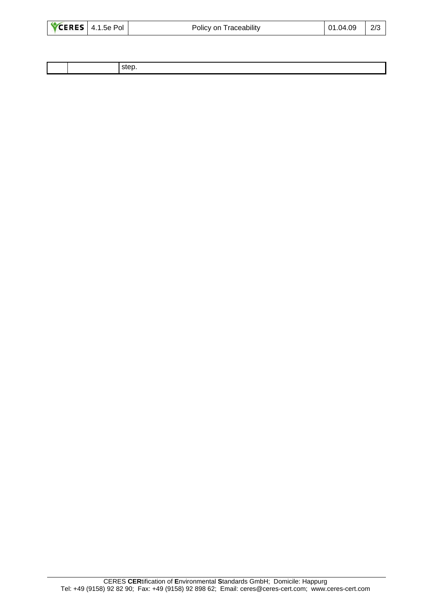| 01.04.09<br>Policy on Traceability | CERES 4.1.5e Pol | 2/3 |
|------------------------------------|------------------|-----|
|------------------------------------|------------------|-----|

|  | sten<br>–~~ |
|--|-------------|
|  |             |